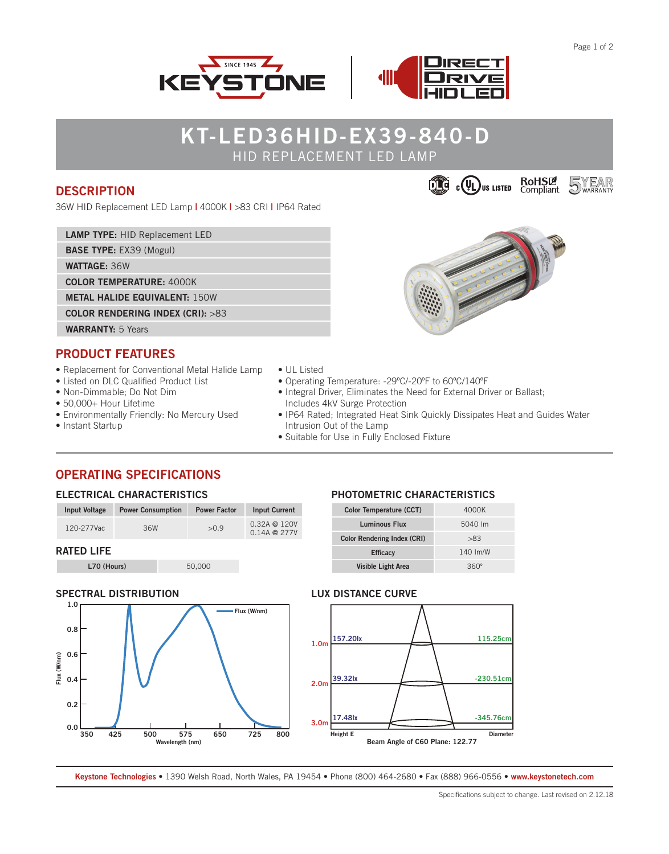**5**WEAR



# **KT-LED36HID-EX39-840-D** HID REPLACEMENT LED LAMP

### **DESCRIPTION**

36W HID Replacement LED Lamp **|** 4000K **|** >83 CRI **|** IP64 Rated

**LAMP TYPE:** HID Replacement LED

**BASE TYPE:** EX39 (Mogul)

**WATTAGE:** 36W

**COLOR TEMPERATURE:** 4000K

**METAL HALIDE EQUIVALENT:** 150W

**COLOR RENDERING INDEX (CRI):** >83

# **WARRANTY:** 5 Years

### **PRODUCT FEATURES**

- Replacement for Conventional Metal Halide Lamp
- Listed on DLC Qualified Product List
- Non-Dimmable; Do Not Dim
- 50,000+ Hour Lifetime
- Environmentally Friendly: No Mercury Used
- Instant Startup
- UL Listed
- Operating Temperature: -29ºC/-20ºF to 60ºC/140ºF
- Integral Driver, Eliminates the Need for External Driver or Ballast; Includes 4kV Surge Protection
- IP64 Rated; Integrated Heat Sink Quickly Dissipates Heat and Guides Water Intrusion Out of the Lamp
- Suitable for Use in Fully Enclosed Fixture

### **OPERATING SPECIFICATIONS**

### **ELECTRICAL CHARACTERISTICS**

| <b>Input Voltage</b> | <b>Power Consumption</b> | <b>Power Factor</b> | <b>Input Current</b>                     |
|----------------------|--------------------------|---------------------|------------------------------------------|
| 120-277Vac           | 36W                      | >0.9                | $0.32A \t@ 120V$<br>$0.14A \otimes 277V$ |
| <b>RATED LIFE</b>    |                          |                     |                                          |

**L70 (Hours)** 50,000

### **SPECTRAL DISTRIBUTION**



### **PHOTOMETRIC CHARACTERISTICS**

| Color Temperature (CCT)            | 4000K    |
|------------------------------------|----------|
| <b>Luminous Flux</b>               | 5040 lm  |
| <b>Color Rendering Index (CRI)</b> | >83      |
| <b>Efficacy</b>                    | 140 Im/W |
| <b>Visible Light Area</b>          | 360°     |

#### **LUX DISTANCE CURVE**



**Keystone Technologies •** 1390 Welsh Road, North Wales, PA 19454 **•** Phone (800) 464-2680 **•** Fax (888) 966-0556 • **www.keystonetech.com**



**CO CO US LISTED COMPliant**